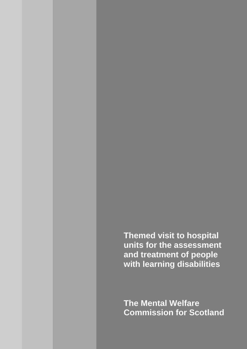**Themed visit to hospital units for the assessment and treatment of people with learning disabilities**

**The Mental Welfare Commission for Scotland**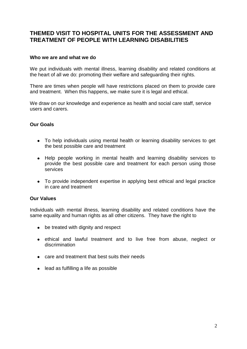# **THEMED VISIT TO HOSPITAL UNITS FOR THE ASSESSMENT AND TREATMENT OF PEOPLE WITH LEARNING DISABILITIES**

### **Who we are and what we do**

We put individuals with mental illness, learning disability and related conditions at the heart of all we do: promoting their welfare and safeguarding their rights.

There are times when people will have restrictions placed on them to provide care and treatment. When this happens, we make sure it is legal and ethical.

We draw on our knowledge and experience as health and social care staff, service users and carers.

### **Our Goals**

- To help individuals using mental health or learning disability services to get the best possible care and treatment
- Help people working in mental health and learning disability services to provide the best possible care and treatment for each person using those services
- To provide independent expertise in applying best ethical and legal practice in care and treatment

#### **Our Values**

Individuals with mental illness, learning disability and related conditions have the same equality and human rights as all other citizens. They have the right to

- be treated with dignity and respect
- ethical and lawful treatment and to live free from abuse, neglect or discrimination
- care and treatment that best suits their needs
- lead as fulfilling a life as possible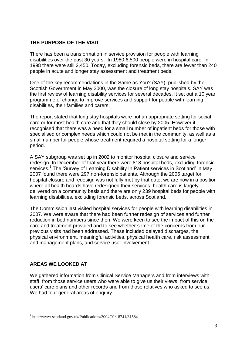## **THE PURPOSE OF THE VISIT**

There has been a transformation in service provision for people with learning disabilities over the past 30 years. In 1980 6,500 people were in hospital care. In 1998 there were still 2,450. Today, excluding forensic beds, there are fewer than 240 people in acute and longer stay assessment and treatment beds.

One of the key recommendations in the Same as You? (SAY), published by the Scottish Government in May 2000, was the closure of long stay hospitals. SAY was the first review of learning disability services for several decades. It set out a 10 year programme of change to improve services and support for people with learning disabilities, their families and carers.

The report stated that long stay hospitals were not an appropriate setting for social care or for most health care and that they should close by 2005. However it recognised that there was a need for a small number of inpatient beds for those with specialised or complex needs which could not be met in the community, as well as a small number for people whose treatment required a hospital setting for a longer period.

A SAY subgroup was set up in 2002 to monitor hospital closure and service redesign. In December of that year there were 818 hospital beds, excluding forensic services.<sup>1</sup> The 'Survey of Learning Disability In Patient services in Scotland' in May 2007 found there were 297 non-forensic patients. Although the 2005 target for hospital closure and redesign was not fully met by that date, we are now in a position where all health boards have redesigned their services, health care is largely delivered on a community basis and there are only 239 hospital beds for people with learning disabilities, excluding forensic beds, across Scotland.

The Commission last visited hospital services for people with learning disabilities in 2007. We were aware that there had been further redesign of services and further reduction in bed numbers since then. We were keen to see the impact of this on the care and treatment provided and to see whether some of the concerns from our previous visits had been addressed. These included delayed discharges, the physical environment, meaningful activities, physical health care, risk assessment and management plans, and service user involvement.

## **AREAS WE LOOKED AT**

1

We gathered information from Clinical Service Managers and from interviews with staff, from those service users who were able to give us their views, from service users" care plans and other records and from those relatives who asked to see us. We had four general areas of enquiry.

<sup>1</sup> http://www.scotland.gov.uk/Publications/2004/01/18741/31584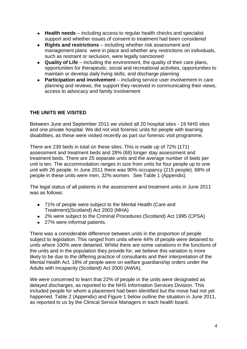- **Health needs**  including access to regular health checks and specialist support and whether issues of consent to treatment had been considered
- $\bullet$ **Rights and restrictions** – including whether risk assessment and management plans were in place and whether any restrictions on individuals, such as restraint or seclusion, were legally sanctioned
- **Quality of Life**  including the environment, the quality of their care plans, opportunities for therapeutic, social and recreational activities, opportunities to maintain or develop daily living skills, and discharge planning
- **Participation and involvement** including service user involvement in care  $\bullet$ planning and reviews, the support they received in communicating their views, access to advocacy and family involvement

## **THE UNITS WE VISITED**

Between June and September 2011 we visited all 20 hospital sites - 19 NHS sites and one private hospital. We did not visit forensic units for people with learning disabilities, as these were visited recently as part our forensic visit programme.

There are 239 beds in total on these sites. This is made up of 72% (171) assessment and treatment beds and 28% (68) longer stay assessment and treatment beds. There are 25 separate units and the average number of beds per unit is ten. The accommodation ranges in size from units for four people up to one unit with 26 people. In June 2011 there was 90% occupancy (215 people). 68% of people in these units were men, 32% women. See Table 1 (Appendix).

The legal status of all patients in the assessment and treatment units in June 2011 was as follows:

- 71% of people were subject to the Mental Health (Care and Treatment)(Scotland) Act 2003 (MHA)
- 2% were subject to the Criminal Procedures (Scotland) Act 1995 (CPSA)
- 27% were informal patients.

There was a considerable difference between units in the proportion of people subject to legislation. This ranged from units where 44% of people were detained to units where 100% were detained. Whilst there are some variations in the functions of the units and in the population they provide for, we believe this variation is more likely to be due to the differing practice of consultants and their interpretation of the Mental Health Act. 18% of people were on welfare guardianship orders under the Adults with Incapacity (Scotland) Act 2000 (AWIA).

We were concerned to learn that 22% of people in the units were designated as delayed discharges, as reported to the NHS Information Services Division. This included people for whom a placement had been identified but the move had not yet happened. Table 2 (Appendix) and Figure 1 below outline the situation in June 2011, as reported to us by the Clinical Service Managers in each health board.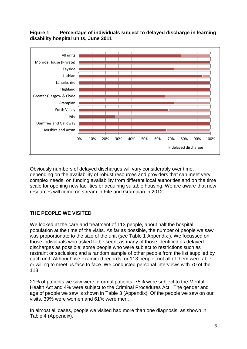

## **Figure 1 Percentage of individuals subject to delayed discharge in learning disability hospital units, June 2011**

Obviously numbers of delayed discharges will vary considerably over time, depending on the availability of robust resources and providers that can meet very complex needs, on funding availability from different local authorities and on the time scale for opening new facilities or acquiring suitable housing. We are aware that new resources will come on stream in Fife and Grampian in 2012.

## **THE PEOPLE WE VISITED**

We looked at the care and treatment of 113 people, about half the hospital population at the time of the visits. As far as possible, the number of people we saw was proportionate to the size of the unit (see Table 1 Appendix ). We focussed on those individuals who asked to be seen; as many of those identified as delayed discharges as possible; some people who were subject to restrictions such as restraint or seclusion; and a random sample of other people from the list supplied by each unit. Although we examined records for 113 people, not all of them were able or willing to meet us face to face. We conducted personal interviews with 70 of the 113.

21% of patients we saw were informal patients, 75% were subject to the Mental Health Act and 4% were subject to the Criminal Procedures Act. The gender and age of people we saw is shown in Table 3 (Appendix). Of the people we saw on our visits, 39% were women and 61% were men.

In almost all cases, people we visited had more than one diagnosis, as shown in Table 4 (Appendix).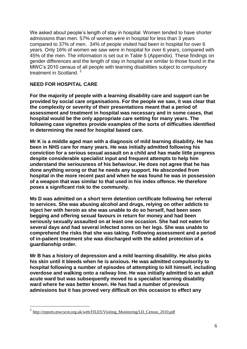We asked about people"s length of stay in hospital. Women tended to have shorter admissions than men. 57% of women were in hospital for less than 3 years compared to 37% of men. 34% of people visited had been in hospital for over 6 years. Only 16% of women we saw were in hospital for over 6 years, compared with 45% of the men. The information is set out in Table 5 (Appendix). These findings on gender differences and the length of stay in hospital are similar to those found in the MWC"s 2010 census of all people with learning disabilities subject to compulsory treatment in Scotland.<sup>2</sup>

## **NEED FOR HOSPITAL CARE**

**For the majority of people with a learning disability care and support can be provided by social care organisations. For the people we saw, it was clear that the complexity or severity of their presentations meant that a period of assessment and treatment in hospital was necessary and in some cases, that hospital would be the only appropriate care setting for many years. The following case vignettes provide examples of the sorts of difficulties identified in determining the need for hospital based care.**

**Mr K is a middle aged man with a diagnosis of mild learning disability. He has been in NHS care for many years. He was initially admitted following his conviction for a serious sexual assault on a child and has made little progress despite considerable specialist input and frequent attempts to help him understand the seriousness of his behaviour. He does not agree that he has done anything wrong or that he needs any support. He absconded from hospital in the more recent past and when he was found he was in possession of a weapon that was similar to that used in his index offence. He therefore poses a significant risk to the community.**

**Ms D was admitted on a short term detention certificate following her referral to services. She was abusing alcohol and drugs, relying on other addicts to inject her with heroin as she was unable to do so herself, had been seen begging and offering sexual favours in return for money and had been seriously sexually assaulted on at least one occasion. She had not eaten for several days and had several infected sores on her legs. She was unable to comprehend the risks that she was taking. Following assessment and a period of in-patient treatment she was discharged with the added protection of a guardianship order.**

**Mr B has a history of depression and a mild learning disability. He also picks his skin until it bleeds when he is anxious. He was admitted compulsorily to hospital following a number of episodes of attempting to kill himself, including overdose and walking onto a railway line. He was initially admitted to an adult acute ward but was subsequently moved to a specialist learning disability ward where he was better known. He has had a number of previous admissions but it has proved very difficult on this occasion to effect any** 

<sup>-&</sup>lt;br><sup>2</sup> [http://reports.mwcscot.org.uk/web/FILES/Visiting\\_Monitoring/LD\\_Census\\_2010.pdf](http://reports.mwcscot.org.uk/web/FILES/Visiting_Monitoring/LD_Census_2010.pdf)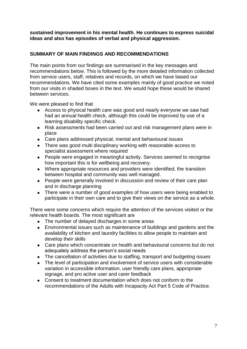### **sustained improvement in his mental health. He continues to express suicidal ideas and also has episodes of verbal and physical aggression.**

## **SUMMARY OF MAIN FINDINGS AND RECOMMENDATIONS**

The main points from our findings are summarised in the key messages and recommendations below. This is followed by the more detailed information collected from service users, staff, relatives and records, on which we have based our recommendations. We have cited some examples mainly of good practice we noted from our visits in shaded boxes in the text. We would hope these would be shared between services.

We were pleased to find that

- $\bullet$ Access to physical health care was good and nearly everyone we saw had had an annual health check, although this could be improved by use of a learning disability specific check.
- Risk assessments had been carried out and risk management plans were in place
- Care plans addressed physical, mental and behavioural issues
- There was good multi disciplinary working with reasonable access to specialist assessment where required
- People were engaged in meaningful activity. Services seemed to recognise how important this is for wellbeing and recovery.
- Where appropriate resources and providers were identified, the transition between hospital and community was well managed.
- People were generally involved in discussion and review of their care plan and in discharge planning
- There were a number of good examples of how users were being enabled to participate in their own care and to give their views on the service as a whole.

There were some concerns which require the attention of the services visited or the relevant health boards. The most significant are

- The number of delayed discharges in some areas
- Environmental issues such as maintenance of buildings and gardens and the availability of kitchen and laundry facilities to allow people to maintain and develop their skills
- Care plans which concentrate on health and behavioural concerns but do not adequately address the person's social needs
- The cancellation of activities due to staffing, transport and budgeting issues
- The level of participation and involvement of service users with considerable variation in accessible information, user friendly care plans, appropriate signage, and pro active user and carer feedback
- Consent to treatment documentation which does not conform to the  $\bullet$ recommendations of the Adults with Incapacity Act Part 5 Code of Practice.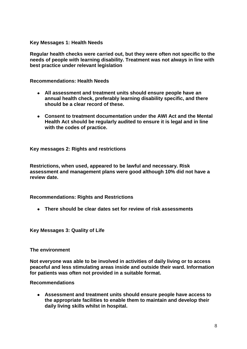**Key Messages 1: Health Needs**

**Regular health checks were carried out, but they were often not specific to the needs of people with learning disability. Treatment was not always in line with best practice under relevant legislation** 

**Recommendations: Health Needs**

- **All assessment and treatment units should ensure people have an annual health check, preferably learning disability specific, and there should be a clear record of these.**
- **Consent to treatment documentation under the AWI Act and the Mental Health Act should be regularly audited to ensure it is legal and in line with the codes of practice.**

**Key messages 2: Rights and restrictions**

**Restrictions, when used, appeared to be lawful and necessary. Risk assessment and management plans were good although 10% did not have a review date.**

**Recommendations: Rights and Restrictions**

**There should be clear dates set for review of risk assessments** 

**Key Messages 3: Quality of Life**

**The environment**

**Not everyone was able to be involved in activities of daily living or to access peaceful and less stimulating areas inside and outside their ward. Information for patients was often not provided in a suitable format.**

**Recommendations**

**Assessment and treatment units should ensure people have access to the appropriate facilities to enable them to maintain and develop their daily living skills whilst in hospital.**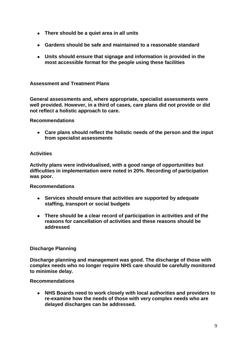- **There should be a quiet area in all units**
- **Gardens should be safe and maintained to a reasonable standard**
- **Units should ensure that signage and information is provided in the most accessible format for the people using these facilities**

### **Assessment and Treatment Plans**

**General assessments and, where appropriate, specialist assessments were well provided. However, in a third of cases, care plans did not provide or did not reflect a holistic approach to care.**

#### **Recommendations**

**Care plans should reflect the holistic needs of the person and the input from specialist assessments**

#### **Activities**

**Activity plans were individualised, with a good range of opportunities but difficulties in implementation were noted in 20%. Recording of participation was poor.**

#### **Recommendations**

- **Services should ensure that activities are supported by adequate**   $\bullet$ **staffing, transport or social budgets**
- **There should be a clear record of participation in activities and of the reasons for cancellation of activities and these reasons should be addressed**

#### **Discharge Planning**

**Discharge planning and management was good. The discharge of those with complex needs who no longer require NHS care should be carefully monitored to minimise delay.**

#### **Recommendations**

**NHS Boards need to work closely with local authorities and providers to re-examine how the needs of those with very complex needs who are delayed discharges can be addressed.**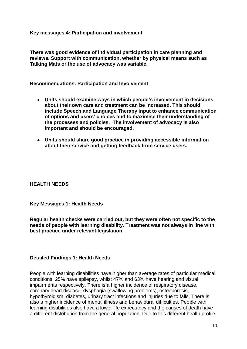**Key messages 4: Participation and involvement**

**There was good evidence of individual participation in care planning and reviews. Support with communication, whether by physical means such as Talking Mats or the use of advocacy was variable.**

**Recommendations: Participation and Involvement**

- **Units should examine ways in which people's involvement in decisions about their own care and treatment can be increased. This should include Speech and Language Therapy input to enhance communication of options and users' choices and to maximise their understanding of the processes and policies. The involvement of advocacy is also important and should be encouraged.**
- **Units should share good practice in providing accessible information about their service and getting feedback from service users.**

#### **HEALTH NEEDS**

#### **Key Messages 1: Health Needs**

**Regular health checks were carried out, but they were often not specific to the needs of people with learning disability. Treatment was not always in line with best practice under relevant legislation** 

#### **Detailed Findings 1: Health Needs**

People with learning disabilities have higher than average rates of particular medical conditions. 25% have epilepsy, whilst 47% and 63% have hearing and visual impairments respectively. There is a higher incidence of respiratory disease, coronary heart disease, dysphagia (swallowing problems), osteoporosis, hypothyroidism, diabetes, urinary tract infections and injuries due to falls. There is also a higher incidence of mental illness and behavioural difficulties. People with learning disabilities also have a lower life expectancy and the causes of death have a different distribution from the general population. Due to this different health profile,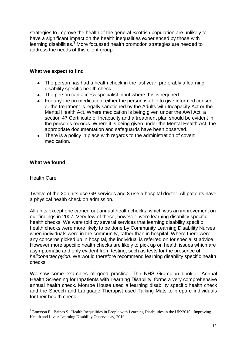strategies to improve the health of the general Scottish population are unlikely to have a significant impact on the health inequalities experienced by those with learning disabilities.<sup>3</sup> More focussed health promotion strategies are needed to address the needs of this client group.

### **What we expect to find**

- The person has had a health check in the last year, preferably a learning disability specific health check
- The person can access specialist input where this is required
- For anyone on medication, either the person is able to give informed consent or the treatment is legally sanctioned by the Adults with Incapacity Act or the Mental Health Act. Where medication is being given under the AWI Act, a section 47 Certificate of Incapacity and a treatment plan should be evident in the person"s records. Where it is being given under the Mental Health Act, the appropriate documentation and safeguards have been observed.
- There is a policy in place with regards to the administration of covert medication.

#### **What we found**

#### Health Care

1

Twelve of the 20 units use GP services and 8 use a hospital doctor. All patients have a physical health check on admission.

All units except one carried out annual health checks, which was an improvement on our findings in 2007. Very few of these, however, were learning disability specific health checks. We were told by several services that learning disability specific health checks were more likely to be done by Community Learning Disability Nurses when individuals were in the community, rather than in hospital. Where there were any concerns picked up in hospital, the individual is referred on for specialist advice. However more specific health checks are likely to pick up on health issues which are asymptomatic and only evident from testing, such as tests for the presence of *helicobacter pylori*. We would therefore recommend learning disability specific health checks.

We saw some examples of good practice*.* The NHS Grampian booklet "Annual Health Screening for Inpatients with Learning Disability" forms a very comprehensive annual health check. Monroe House used a learning disability specific health check and the Speech and Language Therapist used Talking Mats to prepare individuals for their health check.

 $3$  Emerson E., Baines S. Health Inequalities in People with Learning Disabilities in the UK:2010. Improving Health and Lives: Learning Disability Observatory, 2010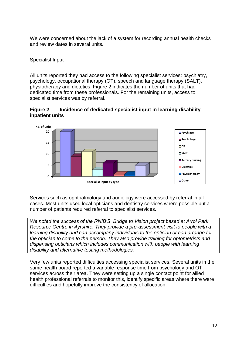We were concerned about the lack of a system for recording annual health checks and review dates in several units**.**

## Specialist Input

All units reported they had access to the following specialist services: psychiatry, psychology, occupational therapy (OT), speech and language therapy (SALT), physiotherapy and dietetics. Figure 2 indicates the number of units that had dedicated time from these professionals. For the remaining units, access to specialist services was by referral.





Services such as ophthalmology and audiology were accessed by referral in all cases. Most units used local opticians and dentistry services where possible but a number of patients required referral to specialist services.

*We noted the success of the RNIB'S Bridge to Vision project based at Arrol Park Resource Centre in Ayrshire. They provide a pre-assessment visit to people with a learning disability and can accompany individuals to the optician or can arrange for the optician to come to the person. They also provide training for optometrists and dispensing opticians which includes communication with people with learning disability and alternative testing methodologies.*

Very few units reported difficulties accessing specialist services. Several units in the same health board reported a variable response time from psychology and OT services across their area. They were setting up a single contact point for allied health professional referrals to monitor this, identify specific areas where there were difficulties and hopefully improve the consistency of allocation.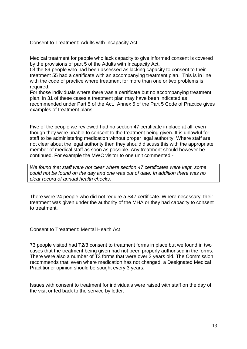Consent to Treatment: Adults with Incapacity Act

Medical treatment for people who lack capacity to give informed consent is covered by the provisions of part 5 of the Adults with Incapacity Act.

Of the 89 people who had been assessed as lacking capacity to consent to their treatment 55 had a certificate with an accompanying treatment plan. This is in line with the code of practice where treatment for more than one or two problems is required.

For those individuals where there was a certificate but no accompanying treatment plan, in 31 of these cases a treatment plan may have been indicated as recommended under Part 5 of the Act. Annex 5 of the Part 5 Code of Practice gives examples of treatment plans.

Five of the people we reviewed had no section 47 certificate in place at all, even though they were unable to consent to the treatment being given. It is unlawful for staff to be administering medication without proper legal authority. Where staff are not clear about the legal authority then they should discuss this with the appropriate member of medical staff as soon as possible. Any treatment should however be continued. For example the MWC visitor to one unit commented -

*We found that staff were not clear where section 47 certificates were kept, some could not be found on the day and one was out of date. In addition there was no clear record of annual health checks.*

There were 24 people who did not require a S47 certificate. Where necessary, their treatment was given under the authority of the MHA or they had capacity to consent to treatment.

Consent to Treatment: Mental Health Act

73 people visited had T2/3 consent to treatment forms in place but we found in two cases that the treatment being given had not been properly authorised in the forms. There were also a number of T3 forms that were over 3 years old. The Commission recommends that, even where medication has not changed, a Designated Medical Practitioner opinion should be sought every 3 years.

Issues with consent to treatment for individuals were raised with staff on the day of the visit or fed back to the service by letter.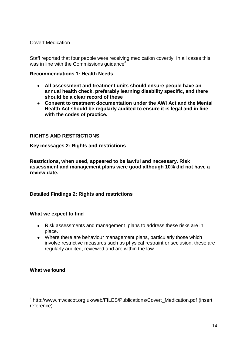Covert Medication

Staff reported that four people were receiving medication covertly. In all cases this was in line with the Commissions guidance $4$ .

### **Recommendations 1: Health Needs**

- **All assessment and treatment units should ensure people have an annual health check, preferably learning disability specific, and there should be a clear record of these**
- **Consent to treatment documentation under the AWI Act and the Mental Health Act should be regularly audited to ensure it is legal and in line with the codes of practice.**

## **RIGHTS AND RESTRICTIONS**

**Key messages 2: Rights and restrictions**

**Restrictions, when used, appeared to be lawful and necessary. Risk assessment and management plans were good although 10% did not have a review date.**

## **Detailed Findings 2: Rights and restrictions**

#### **What we expect to find**

- Risk assessments and management plans to address these risks are in place.
- Where there are behaviour management plans, particularly those which involve restrictive measures such as physical restraint or seclusion, these are regularly audited, reviewed and are within the law.

## **What we found**

<u>.</u>

<sup>4</sup> http://www.mwcscot.org.uk/web/FILES/Publications/Covert\_Medication.pdf (insert reference)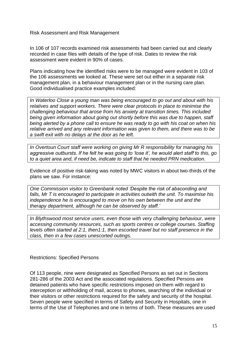Risk Assessment and Risk Management

In 106 of 107 records examined risk assessments had been carried out and clearly recorded in case files with details of the type of risk. Dates to review the risk assessment were evident in 90% of cases.

Plans indicating how the identified risks were to be managed were evident in 103 of the 106 assessments we looked at. These were set out either in a separate risk management plan, in a behaviour management plan or in the nursing care plan. Good individualised practice examples included:

*In Waterloo Close a young man was being encouraged to go out and about with his relatives and support workers. There were clear protocols in place to minimise the challenging behaviour that arose from his anxiety at transition times. This included being given information about going out shortly before this was due to happen, staff being alerted by a phone call to ensure he was ready to go with his coat on when his relative arrived and any relevant information was given to them, and there was to be a swift exit with no delays at the door as he left.*

*In Overtoun Court staff were working on giving Mr R responsibility for managing his aggressive outbursts. If he felt he was going to 'lose it', he would alert staff to this, go to a quiet area and, if need be, indicate to staff that he needed PRN medication.*

Evidence of positive risk-taking was noted by MWC visitors in about two-thirds of the plans we saw. For instance:

*One Commission visitor to Greenbank noted 'Despite the risk of absconding and falls, Mr T is encouraged to participate in activities outwith the unit. To maximise his independence he is encouraged to move on his own between the unit and the therapy department, although he can be observed by staff.'*

*In Blythswood most service users, even those with very challenging behaviour, were accessing community resources, such as sports centres or college courses. Staffing levels often started at 2:1, then1:1, then escorted travel but no staff presence in the class, then in a few cases unescorted outings.*

Restrictions: Specified Persons

Of 113 people, nine were designated as Specified Persons as set out in Sections 281-286 of the 2003 Act and the associated regulations. Specified Persons are detained patients who have specific restrictions imposed on them with regard to interception or withholding of mail, access to phones, searching of the individual or their visitors or other restrictions required for the safety and security of the hospital. Seven people were specified in terms of Safety and Security in Hospitals, one in terms of the Use of Telephones and one in terms of both. These measures are used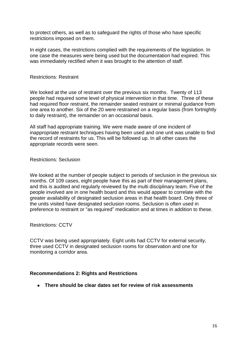to protect others, as well as to safeguard the rights of those who have specific restrictions imposed on them.

In eight cases, the restrictions complied with the requirements of the legislation. In one case the measures were being used but the documentation had expired. This was immediately rectified when it was brought to the attention of staff.

#### Restrictions: Restraint

We looked at the use of restraint over the previous six months. Twenty of 113 people had required some level of physical intervention in that time. Three of these had required floor restraint, the remainder seated restraint or minimal guidance from one area to another. Six of the 20 were restrained on a regular basis (from fortnightly to daily restraint), the remainder on an occasional basis.

All staff had appropriate training. We were made aware of one incident of inappropriate restraint techniques having been used and one unit was unable to find the record of restraints for us. This will be followed up. In all other cases the appropriate records were seen.

Restrictions: Seclusion

We looked at the number of people subject to periods of seclusion in the previous six months. Of 109 cases, eight people have this as part of their management plans, and this is audited and regularly reviewed by the multi disciplinary team. Five of the people involved are in one health board and this would appear to correlate with the greater availability of designated seclusion areas in that health board. Only three of the units visited have designated seclusion rooms. Seclusion is often used in preference to restraint or "as required" medication and at times in addition to these.

Restrictions: CCTV

CCTV was being used appropriately. Eight units had CCTV for external security, three used CCTV in designated seclusion rooms for observation and one for monitoring a corridor area.

#### **Recommendations 2: Rights and Restrictions**

**There should be clear dates set for review of risk assessments**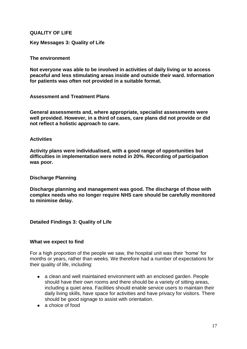### **QUALITY OF LIFE**

**Key Messages 3: Quality of Life**

#### **The environment**

**Not everyone was able to be involved in activities of daily living or to access peaceful and less stimulating areas inside and outside their ward. Information for patients was often not provided in a suitable format.**

**Assessment and Treatment Plans**

**General assessments and, where appropriate, specialist assessments were well provided. However, in a third of cases, care plans did not provide or did not reflect a holistic approach to care.**

#### **Activities**

**Activity plans were individualised, with a good range of opportunities but difficulties in implementation were noted in 20%. Recording of participation was poor.**

#### **Discharge Planning**

**Discharge planning and management was good. The discharge of those with complex needs who no longer require NHS care should be carefully monitored to minimise delay.**

#### **Detailed Findings 3: Quality of Life**

#### **What we expect to find**

For a high proportion of the people we saw, the hospital unit was their "home" for months or years, rather than weeks. We therefore had a number of expectations for their quality of life, including:

- a clean and well maintained environment with an enclosed garden. People should have their own rooms and there should be a variety of sitting areas, including a quiet area. Facilities should enable service users to maintain their daily living skills, have space for activities and have privacy for visitors. There should be good signage to assist with orientation.
- a choice of food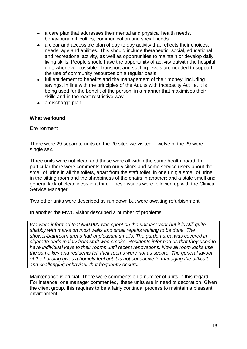- a care plan that addresses their mental and physical health needs, behavioural difficulties, communication and social needs
- $\bullet$ a clear and accessible plan of day to day activity that reflects their choices, needs, age and abilities. This should include therapeutic, social, educational and recreational activity, as well as opportunities to maintain or develop daily living skills. People should have the opportunity of activity outwith the hospital unit, whenever possible. Transport and staffing levels are needed to support the use of community resources on a regular basis.
- full entitlement to benefits and the management of their money, including savings, in line with the principles of the Adults with Incapacity Act i.e. it is being used for the benefit of the person, in a manner that maximises their skills and in the least restrictive way
- a discharge plan

### **What we found**

**Environment** 

There were 29 separate units on the 20 sites we visited. Twelve of the 29 were single sex.

Three units were not clean and these were all within the same health board. In particular there were comments from our visitors and some service users about the smell of urine in all the toilets, apart from the staff toilet, in one unit; a smell of urine in the sitting room and the shabbiness of the chairs in another; and a stale smell and general lack of cleanliness in a third. These issues were followed up with the Clinical Service Manager.

Two other units were described as run down but were awaiting refurbishment

In another the MWC visitor described a number of problems.

*We were informed that £50,000 was spent on the unit last year but it is still quite shabby with marks on most walls and small repairs waiting to be done. The shower/bathroom areas had unpleasant smells. The garden area was covered in cigarette ends mainly from staff who smoke. Residents informed us that they used to have individual keys to their rooms until recent renovations. Now all room locks use the same key and residents felt their rooms were not as secure. The general layout of the building gives a homely feel but it is not conducive to managing the difficult and challenging behaviour that frequently occurs.* 

Maintenance is crucial. There were comments on a number of units in this regard. For instance, one manager commented, "these units are in need of decoration. Given the client group, this requires to be a fairly continual process to maintain a pleasant environment."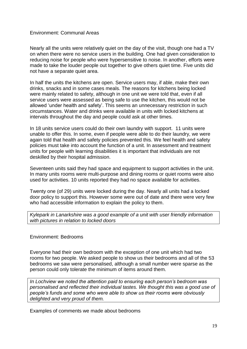### Environment: Communal Areas

Nearly all the units were relatively quiet on the day of the visit, though one had a TV on when there were no service users in the building. One had given consideration to reducing noise for people who were hypersensitive to noise. In another, efforts were made to take the louder people out together to give others quiet time. Five units did not have a separate quiet area.

In half the units the kitchens are open. Service users may, if able, make their own drinks, snacks and in some cases meals. The reasons for kitchens being locked were mainly related to safety, although in one unit we were told that, even if all service users were assessed as being safe to use the kitchen, this would not be allowed "under health and safety". This seems an unnecessary restriction in such circumstances. Water and drinks were available in units with locked kitchens at intervals throughout the day and people could ask at other times.

In 18 units service users could do their own laundry with support. 11 units were unable to offer this. In some, even if people were able to do their laundry, we were again told that health and safety policies prevented this. We feel health and safety policies must take into account the function of a unit. In assessment and treatment units for people with learning disabilities it is important that individuals are not deskilled by their hospital admission.

Seventeen units said they had space and equipment to support activities in the unit. In many units rooms were multi-purpose and dining rooms or quiet rooms were also used for activities. 10 units reported they had no space available for activities.

Twenty one (of 29) units were locked during the day. Nearly all units had a locked door policy to support this. However some were out of date and there were very few who had accessible information to explain the policy to them.

*Kylepark in Lanarkshire was a good example of a unit with user friendly information with pictures in relation to locked doors*

Environment: Bedrooms

Everyone had their own bedroom with the exception of one unit which had two rooms for two people. We asked people to show us their bedrooms and all of the 53 bedrooms we saw were personalised, although a small number were sparse as the person could only tolerate the minimum of items around them.

*In Lochview we noted the attention paid to ensuring each person's bedroom was personalised and reflected their individual tastes. We thought this was a good use of people's funds and some who were able to show us their rooms were obviously delighted and very proud of them.*

Examples of comments we made about bedrooms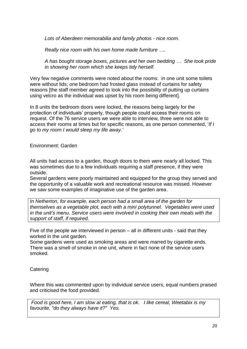*Lots of Aberdeen memorabilia and family photos - nice room.*

*Really nice room with his own home made furniture ….*

*A has bought storage boxes, pictures and her own bedding … She took pride in showing her room which she keeps tidy herself.* 

Very few negative comments were noted about the rooms: in one unit some toilets were without lids; one bedroom had frosted glass instead of curtains for safety reasons [the staff member agreed to look into the possibility of putting up curtains using velcro as the individual was upset by his room being different].

In 8 units the bedroom doors were locked, the reasons being largely for the protection of individuals" property, though people could access their rooms on request. Of the 76 service users we were able to interview, three were not able to access their rooms at times but for specific reasons, as one person commented, "*If I go to my room I would sleep my life away.'*

Environment: Garden

All units had access to a garden, though doors to them were nearly all locked. This was sometimes due to a few individuals requiring a staff presence, if they were outside.

Several gardens were poorly maintained and equipped for the group they served and the opportunity of a valuable work and recreational resource was missed. However we saw some examples of imaginative use of the garden area.

*In Netherton, for example, each person had a small area of the garden for themselves as a vegetable plot, each with a mini polytunnel. Vegetables were used in the unit's menu. Service users were involved in cooking their own meals with the support of staff, if required.*

Five of the people we interviewed in person – all in different units - said that they worked in the unit garden.

Some gardens were used as smoking areas and were marred by cigarette ends. There was a smell of smoke in one unit, where in fact none of the service users smoked.

**Catering** 

Where this was commented upon by individual service users, equal numbers praised and criticised the food provided.

*Food is good here, I am slow at eating, that is ok. I like cereal, Weetabix is my favourite, "do they always have it?" Yes.*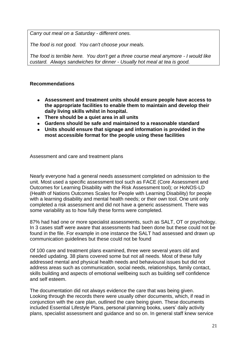*Carry out meal on a Saturday - different ones.*

*The food is not good. You can't choose your meals.* 

*The food is terrible here. You don't get a three course meal anymore - I would like custard. Always sandwiches for dinner - Usually hot meal at tea is good.*

## **Recommendations**

- **Assessment and treatment units should ensure people have access to the appropriate facilities to enable them to maintain and develop their daily living skills whilst in hospital.**
- **There should be a quiet area in all units**
- **Gardens should be safe and maintained to a reasonable standard**
- **Units should ensure that signage and information is provided in the**   $\bullet$ **most accessible format for the people using these facilities**

Assessment and care and treatment plans

Nearly everyone had a general needs assessment completed on admission to the unit. Most used a specific assessment tool such as FACE (Core Assessment and Outcomes for Learning Disability with the Risk Assessment tool); or HoNOS-LD (Health of Nations Outcomes Scales for People with Learning Disability) for people with a learning disability and mental health needs; or their own tool. One unit only completed a risk assessment and did not have a generic assessment. There was some variability as to how fully these forms were completed.

87% had had one or more specialist assessments, such as SALT, OT or psychology. In 3 cases staff were aware that assessments had been done but these could not be found in the file. For example in one instance the SALT had assessed and drawn up communication guidelines but these could not be found

Of 100 care and treatment plans examined, three were several years old and needed updating. 38 plans covered some but not all needs. Most of these fully addressed mental and physical health needs and behavioural issues but did not address areas such as communication, social needs, relationships, family contact, skills building and aspects of emotional wellbeing such as building self confidence and self esteem.

The documentation did not always evidence the care that was being given. Looking through the records there were usually other documents, which, if read in conjunction with the care plan, outlined the care being given. These documents included Essential Lifestyle Plans, personal planning books, users' daily activity plans, specialist assessment and guidance and so on. In general staff knew service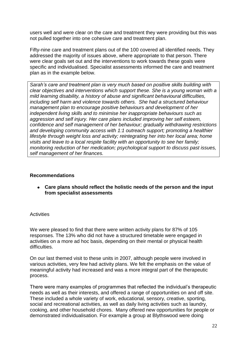users well and were clear on the care and treatment they were providing but this was not pulled together into one cohesive care and treatment plan.

Fifty-nine care and treatment plans out of the 100 covered all identified needs. They addressed the majority of issues above, where appropriate to that person. There were clear goals set out and the interventions to work towards these goals were specific and individualised. Specialist assessments informed the care and treatment plan as in the example below.

*Sarah's care and treatment plan is very much based on positive skills building with clear objectives and interventions which support these. She is a young woman with a mild learning disability, a history of abuse and significant behavioural difficulties, including self harm and violence towards others. She had a structured behaviour management plan to encourage positive behaviours and development of her independent living skills and to minimise her inappropriate behaviours such as aggression and self injury. Her care plans included improving her self esteem, confidence and self management of her behaviour; gradually withdrawing restrictions and developing community access with 1:1 outreach support; promoting a healthier lifestyle through weight loss and activity; reintegrating her into her local area; home visits and leave to a local respite facility with an opportunity to see her family; monitoring reduction of her medication; psychological support to discuss past issues, self management of her finances.*

#### **Recommendations**

**Care plans should reflect the holistic needs of the person and the input from specialist assessments**

## **Activities**

We were pleased to find that there were written activity plans for 87% of 105 responses. The 13% who did not have a structured timetable were engaged in activities on a more ad hoc basis, depending on their mental or physical health difficulties.

On our last themed visit to these units in 2007, although people were involved in various activities, very few had activity plans. We felt the emphasis on the value of meaningful activity had increased and was a more integral part of the therapeutic process.

There were many examples of programmes that reflected the individual"s therapeutic needs as well as their interests, and offered a range of opportunities on and off site. These included a whole variety of work, educational, sensory, creative, sporting, social and recreational activities, as well as daily living activities such as laundry, cooking, and other household chores. Many offered new opportunities for people or demonstrated individualisation. For example a group at Blythswood were doing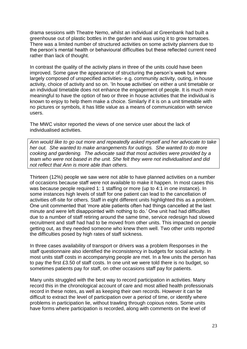drama sessions with Theatre Nemo, whilst an individual at Greenbank had built a greenhouse out of plastic bottles in the garden and was using it to grow tomatoes. There was a limited number of structured activities on some activity planners due to the person"s mental health or behavioural difficulties but these reflected current need rather than lack of thought.

In contrast the quality of the activity plans in three of the units could have been improved. Some gave the appearance of structuring the person's week but were largely composed of unspecified activities- e.g. community activity, outing, in house activity, choice of activity and so on. "In house activities" on either a unit timetable or an individual timetable does not enhance the engagement of people. It is much more meaningful to have the option of two or three in house activities that the individual is known to enjoy to help them make a choice. Similarly if it is on a unit timetable with no pictures or symbols, it has little value as a means of communication with service users.

The MWC visitor reported the views of one service user about the lack of individualised activities.

*Ann would like to go out more and repeatedly asked myself and her advocate to take her out. She wanted to make arrangements for outings. She wanted to do more cooking and gardening. The advocate said that most activities were provided by a team who were not based in the unit. She felt they were not individualised and did not reflect that Ann is more able than others.*

Thirteen (12%) people we saw were not able to have planned activities on a number of occasions because staff were not available to make it happen. In most cases this was because people required 1: 1 staffing or more (up to 4:1 in one instance). In some instances high levels of staff for one patient can lead to the cancellation of activities off-site for others. Staff in eight different units highlighted this as a problem. One unit commented that "more able patients often had things cancelled at the last minute and were left disappointed with nothing to do." One unit had had difficulties due to a number of staff retiring around the same time, service redesign had slowed recruitment and staff had had to be moved from other units. This impacted on people getting out, as they needed someone who knew them well. Two other units reported the difficulties posed by high rates of staff sickness.

In three cases availability of transport or drivers was a problem Responses in the staff questionnaire also identified the inconsistency in budgets for social activity. In most units staff costs in accompanying people are met. In a few units the person has to pay the first £3.50 of staff costs. In one unit we were told there is no budget, so sometimes patients pay for staff, on other occasions staff pay for patients.

Many units struggled with the best way to record participation in activities. Many record this in the chronological account of care and most allied health professionals record in these notes, as well as keeping their own records. However it can be difficult to extract the level of participation over a period of time, or identify where problems in participation lie, without trawling through copious notes. Some units have forms where participation is recorded, along with comments on the level of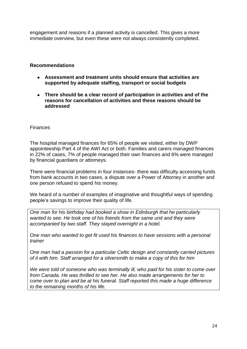engagement and reasons if a planned activity is cancelled. This gives a more immediate overview, but even these were not always consistently completed.

### **Recommendations**

- **Assessment and treatment units should ensure that activities are supported by adequate staffing, transport or social budgets**
- **There should be a clear record of participation in activities and of the reasons for cancellation of activities and these reasons should be addressed**

#### Finances

The hospital managed finances for 65% of people we visited, either by DWP appointeeship Part 4 of the AWI Act or both. Families and carers managed finances in 22% of cases, 7% of people managed their own finances and 6% were managed by financial guardians or attorneys.

There were financial problems in four instances- there was difficulty accessing funds from bank accounts in two cases, a dispute over a Power of Attorney in another and one person refused to spend his money.

We heard of a number of examples of imaginative and thoughtful ways of spending people"s savings to improve their quality of life.

*One man for his birthday had booked a show in Edinburgh that he particularly wanted to see. He took one of his friends from the same unit and they were accompanied by two staff. They stayed overnight in a hotel.*

*One man who wanted to get fit used his finances to have sessions with a personal trainer*

*One man had a passion for a particular Celtic design and constantly carried pictures of it with him. Staff arranged for a silversmith to make a copy of this for him*

*We were told of someone who was terminally ill, who paid for his sister to come over from Canada. He was thrilled to see her. He also made arrangements for her to come over to plan and be at his funeral. Staff reported this made a huge difference to the remaining months of his life.*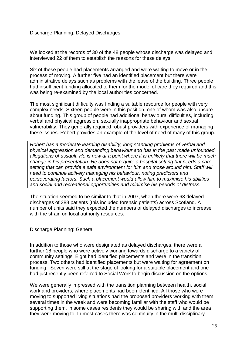Discharge Planning: Delayed Discharges

We looked at the records of 30 of the 48 people whose discharge was delayed and interviewed 22 of them to establish the reasons for these delays.

Six of these people had placements arranged and were waiting to move or in the process of moving. A further five had an identified placement but there were administrative delays such as problems with the lease of the building. Three people had insufficient funding allocated to them for the model of care they required and this was being re-examined by the local authorities concerned.

The most significant difficulty was finding a suitable resource for people with very complex needs. Sixteen people were in this position, one of whom was also unsure about funding. This group of people had additional behavioural difficulties, including verbal and physical aggression, sexually inappropriate behaviour and sexual vulnerability. They generally required robust providers with experience of managing these issues. Robert provides an example of the level of need of many of this group.

*Robert has a moderate learning disability, long standing problems of verbal and physical aggression and demanding behaviour and has in the past made unfounded allegations of assault. He is now at a point where it is unlikely that there will be much change in his presentation. He does not require a hospital setting but needs a care setting that can provide a safe environment for him and those around him. Staff will need to continue actively managing his behaviour, noting predictors and perseverating factors. Such a placement would allow him to maximise his abilities and social and recreational opportunities and minimise his periods of distress.*

The situation seemed to be similar to that in 2007, when there were 68 delayed discharges of 388 patients (this included forensic patients) across Scotland. A number of units said they expected the numbers of delayed discharges to increase with the strain on local authority resources.

Discharge Planning: General

In addition to those who were designated as delayed discharges, there were a further 18 people who were actively working towards discharge to a variety of community settings. Eight had identified placements and were in the transition process. Two others had identified placements but were waiting for agreement on funding. Seven were still at the stage of looking for a suitable placement and one had just recently been referred to Social Work to begin discussion on the options.

We were generally impressed with the transition planning between health, social work and providers, where placements had been identified. All those who were moving to supported living situations had the proposed providers working with them several times in the week and were becoming familiar with the staff who would be supporting them, in some cases residents they would be sharing with and the area they were moving to. In most cases there was continuity in the multi disciplinary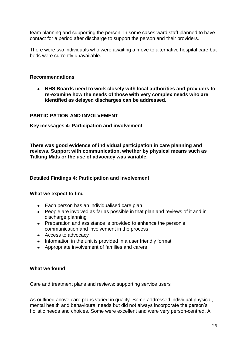team planning and supporting the person. In some cases ward staff planned to have contact for a period after discharge to support the person and their providers.

There were two individuals who were awaiting a move to alternative hospital care but beds were currently unavailable.

#### **Recommendations**

**NHS Boards need to work closely with local authorities and providers to re-examine how the needs of those with very complex needs who are identified as delayed discharges can be addressed.**

#### **PARTICIPATION AND INVOLVEMENT**

**Key messages 4: Participation and involvement**

**There was good evidence of individual participation in care planning and reviews. Support with communication, whether by physical means such as Talking Mats or the use of advocacy was variable.**

#### **Detailed Findings 4: Participation and involvement**

#### **What we expect to find**

- Each person has an individualised care plan
- People are involved as far as possible in that plan and reviews of it and in discharge planning
- Preparation and assistance is provided to enhance the person's communication and involvement in the process
- Access to advocacy
- Information in the unit is provided in a user friendly format
- Appropriate involvement of families and carers

#### **What we found**

Care and treatment plans and reviews: supporting service users

As outlined above care plans varied in quality. Some addressed individual physical, mental health and behavioural needs but did not always incorporate the person"s holistic needs and choices. Some were excellent and were very person-centred. A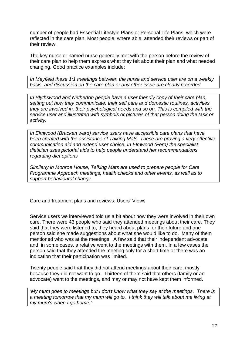number of people had Essential Lifestyle Plans or Personal Life Plans, which were reflected in the care plan. Most people, where able, attended their reviews or part of their review.

The key nurse or named nurse generally met with the person before the review of their care plan to help them express what they felt about their plan and what needed changing. Good practice examples include:

*In Mayfield these 1:1 meetings between the nurse and service user are on a weekly basis, and discussion on the care plan or any other issue are clearly recorded.*

*In Blythswood and Netherton people have a user friendly copy of their care plan, setting out how they communicate, their self care and domestic routines, activities they are involved in, their psychological needs and so on. This is compiled with the service user and illustrated with symbols or pictures of that person doing the task or activity.*

*In Elmwood (Bracken ward) service users have accessible care plans that have been created with the assistance of Talking Mats. These are proving a very effective communication aid and extend user choice. In Elmwood (Fern) the specialist dietician uses pictorial aids to help people understand her recommendations regarding diet options*

*Similarly in Monroe House, Talking Mats are used to prepare people for Care Programme Approach meetings, health checks and other events, as well as to support behavioural change.*

Care and treatment plans and reviews: Users" Views

Service users we interviewed told us a bit about how they were involved in their own care. There were 43 people who said they attended meetings about their care. They said that they were listened to, they heard about plans for their future and one person said she made suggestions about what she would like to do. Many of them mentioned who was at the meetings. A few said that their independent advocate and, in some cases, a relative went to the meetings with them. In a few cases the person said that they attended the meeting only for a short time or there was an indication that their participation was limited.

Twenty people said that they did not attend meetings about their care, mostly because they did not want to go. Thirteen of them said that others (family or an advocate) went to the meetings, and may or may not have kept them informed.

*'My mum goes to meetings but I don't know what they say at the meetings. There is a meeting tomorrow that my mum will go to. I think they will talk about me living at my mum's when I go home.'*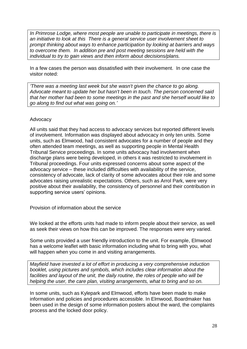*In Primrose Lodge, where most people are unable to participate in meetings, there is an initiative to look at this There is a general service user involvement sheet to prompt thinking about ways to enhance participation by looking at barriers and ways to overcome them. In addition pre and post meeting sessions are held with the individual to try to gain views and then inform about decisions/plans.*

In a few cases the person was dissatisfied with their involvement. In one case the visitor noted:

*'There was a meeting last week but she wasn't given the chance to go along. Advocate meant to update her but hasn't been in touch. The person concerned said that her mother had been to some meetings in the past and she herself would like to go along to find out what was going on.'*

## Advocacy

All units said that they had access to advocacy services but reported different levels of involvement. Information was displayed about advocacy in only ten units. Some units, such as Elmwood, had consistent advocates for a number of people and they often attended team meetings, as well as supporting people in Mental Health Tribunal Service proceedings. In some units advocacy had involvement when discharge plans were being developed, in others it was restricted to involvement in Tribunal proceedings. Four units expressed concerns about some aspect of the advocacy service – these included difficulties with availability of the service, consistency of advocate, lack of clarity of some advocates about their role and some advocates raising unrealistic expectations. Others, such as Arrol Park, were very positive about their availability, the consistency of personnel and their contribution in supporting service users' opinions.

Provision of information about the service

We looked at the efforts units had made to inform people about their service, as well as seek their views on how this can be improved. The responses were very varied.

Some units provided a user friendly introduction to the unit. For example, Elmwood has a welcome leaflet with basic information including what to bring with you, what will happen when you come in and visiting arrangements.

*Mayfield have invested a lot of effort in producing a very comprehensive induction booklet, using pictures and symbols, which includes clear information about the facilities and layout of the unit, the daily routine, the roles of people who will be helping the user, the care plan, visiting arrangements, what to bring and so on.* 

In some units, such as Kylepark and Elmwood, efforts have been made to make information and policies and procedures accessible. In Elmwood, Boardmaker has been used in the design of some information posters about the ward, the complaints process and the locked door policy.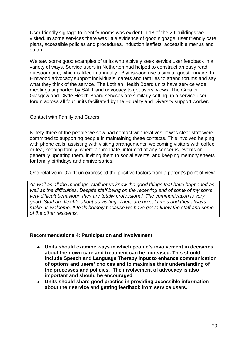User friendly signage to identify rooms was evident in 18 of the 29 buildings we visited. In some services there was little evidence of good signage, user friendly care plans, accessible policies and procedures, induction leaflets, accessible menus and so on.

We saw some good examples of units who actively seek service user feedback in a variety of ways. Service users in Netherton had helped to construct an easy read questionnaire, which is filled in annually. Blythswood use a similar questionnaire. In Elmwood advocacy support individuals, carers and families to attend forums and say what they think of the service. The Lothian Health Board units have service wide meetings supported by SALT and advocacy to get users" views. The Greater Glasgow and Clyde Health Board services are similarly setting up a service user forum across all four units facilitated by the Equality and Diversity support worker.

#### Contact with Family and Carers

Ninety-three of the people we saw had contact with relatives. It was clear staff were committed to supporting people in maintaining these contacts. This involved helping with phone calls, assisting with visiting arrangements, welcoming visitors with coffee or tea, keeping family, where appropriate, informed of any concerns, events or generally updating them, inviting them to social events, and keeping memory sheets for family birthdays and anniversaries.

One relative in Overtoun expressed the positive factors from a parent"s point of view

*As well as all the meetings, staff let us know the good things that have happened as well as the difficulties. Despite staff being on the receiving end of some of my son's very difficult behaviour, they are totally professional. The communication is very good. Staff are flexible about us visiting. There are no set times and they always make us welcome. It feels homely because we have got to know the staff and some of the other residents.* 

#### **Recommendations 4: Participation and Involvement**

- **Units should examine ways in which people's involvement in decisions about their own care and treatment can be increased. This should include Speech and Language Therapy input to enhance communication of options and users' choices and to maximise their understanding of the processes and policies. The involvement of advocacy is also important and should be encouraged**
- **Units should share good practice in providing accessible information about their service and getting feedback from service users.**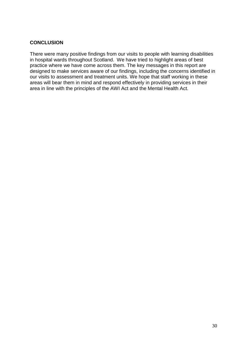## **CONCLUSION**

There were many positive findings from our visits to people with learning disabilities in hospital wards throughout Scotland. We have tried to highlight areas of best practice where we have come across them. The key messages in this report are designed to make services aware of our findings, including the concerns identified in our visits to assessment and treatment units. We hope that staff working in these areas will bear them in mind and respond effectively in providing services in their area in line with the principles of the AWI Act and the Mental Health Act.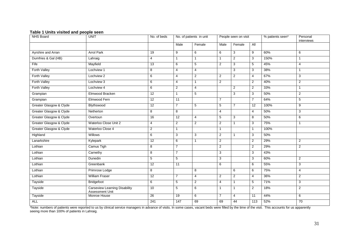#### **Table 1 Units visited and people seen**

| NHS Board               | <b>UNIT</b>                                             | No. of beds     | No. of patients in unit |                | People seen on visit |                | % patients seen* | Personal<br>interviews |                 |
|-------------------------|---------------------------------------------------------|-----------------|-------------------------|----------------|----------------------|----------------|------------------|------------------------|-----------------|
|                         |                                                         |                 | Male                    | Female         | Male                 | Female         | All              |                        |                 |
| Ayrshire and Arran      | <b>Arrol Park</b>                                       | 19              | 9                       | 6              | 6                    | 3              | 9                | 60%                    | 6               |
| Dumfries & Gal (HB)     | Lahraig                                                 | $\overline{4}$  | $\mathbf{1}$            | $\mathbf{1}$   | $\mathbf{1}$         | $\overline{2}$ | 3                | 150%                   | $\mathbf{1}$    |
| Fife                    | Mayfield                                                | 13              | 6                       | 5              | 2                    | 3              | 5                | 45%                    | 4               |
| Forth Valley            | Lochview 1                                              | 8               | 4                       | 4              |                      | 3              | 3                | 38%                    | $\mathbf{1}$    |
| Forth Valley            | Lochview <sub>2</sub>                                   | 6               | $\overline{4}$          | $\overline{2}$ | 2                    | $\overline{2}$ | $\overline{4}$   | 67%                    | 3               |
| Forth Valley            | Lochview 3                                              | 6               | 4                       | $\mathbf{1}$   | 2                    |                | 2                | 40%                    | $\overline{2}$  |
| Forth Valley            | Lochview 4                                              | 6               | 2                       | 4              |                      | $\overline{2}$ | $\overline{2}$   | 33%                    | $\mathbf{1}$    |
| Grampian                | Elmwood Bracken                                         | 12              | $\mathbf{1}$            | 5              |                      | 3              | 3                | 50%                    | $\overline{c}$  |
| Grampian                | Elmwood Fern                                            | $\overline{12}$ | 11                      |                | $\overline{7}$       |                | $\overline{7}$   | 64%                    | 5               |
| Greater Glasgow & Clyde | Blythswood                                              | 12              | $\overline{7}$          | 5              | 5                    | $\overline{7}$ | 12               | 100%                   | 9               |
| Greater Glasgow & Clyde | Netherton                                               | 8               | 8                       |                | $\overline{4}$       |                | $\overline{4}$   | 50%                    | 3               |
| Greater Glasgow & Clyde | Overtoun                                                | 16              | $\overline{12}$         | 4              | 5                    | 3              | 8                | 50%                    | 6               |
| Greater Glasgow & Clyde | Waterloo Close Unit 2                                   | $\overline{4}$  | $\mathbf{2}$            | $\overline{2}$ | $\overline{2}$       | $\mathbf{1}$   | 3                | 75%                    | $\mathbf{1}$    |
| Greater Glasgow & Clyde | Waterloo Close 4                                        | $\overline{2}$  | $\mathbf{1}$            |                | $\mathbf{1}$         |                | $\mathbf{1}$     | 100%                   |                 |
| Highland                | Willows                                                 | 6               | 3                       | 3              | $\overline{2}$       | $\mathbf{1}$   | 3                | 50%                    |                 |
| Lanarkshire             | Kylepark                                                | 12              | 6                       | $\mathbf{1}$   | 2                    |                | 2                | 29%                    | $\overline{2}$  |
| Lothian                 | Camus Tigh                                              | 8               | $\overline{7}$          |                | 2                    |                | 2                | 29%                    | $\overline{2}$  |
| Lothian                 | Carnethy                                                | 8               | $\overline{7}$          |                | 3                    |                | 3                | 43%                    |                 |
| Lothian                 | Dunedin                                                 | 5               | 5                       |                | 3                    |                | 3                | 60%                    | $\overline{2}$  |
| Lothian                 | Greenbank                                               | 12              | 11                      |                | 6                    |                | 6                | 55%                    | 3               |
| Lothian                 | Primrose Lodge                                          | 8               |                         | 8              |                      | 6              | 6                | 75%                    | $\overline{4}$  |
| Lothian                 | <b>William Fraser</b>                                   | 12              | $\overline{7}$          | 4              | 2                    | 2              | $\overline{4}$   | 36%                    | $\overline{2}$  |
| Tayside                 | Bridgefoot                                              | 6               | 5                       | $\overline{2}$ | 4                    | $\mathbf{1}$   | 5                | 71%                    | 3               |
| Tayside                 | <b>Carseview Learning Disability</b><br>Assessment Unit | 10              | 5                       | 6              | $\mathbf{1}$         | $\mathbf{1}$   | $\overline{2}$   | 18%                    | $\overline{2}$  |
| Tayside                 | Monroe House                                            | 26              | 19                      | 6              | $\overline{7}$       | $\overline{4}$ | 11               | 44%                    | 6               |
| ALL                     |                                                         | 241             | 147                     | 69             | 69                   | 44             | 113              | 52%                    | $\overline{70}$ |

\*Note: numbers of patients were reported to us by clinical service managers in advance of visits. In some cases, vacant beds were filled by the time of the visit. This accounts for us apparently seeing more than 100% of patients in Lahraig.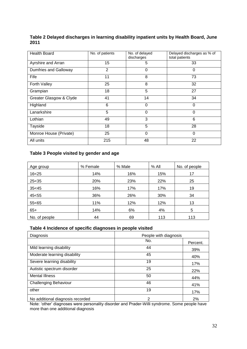| Table 2 Delayed discharges in learning disability inpatient units by Health Board, June |  |
|-----------------------------------------------------------------------------------------|--|
| 2011                                                                                    |  |

| <b>Health Board</b>     | No. of patients | No. of delayed<br>discharges | Delayed discharges as % of<br>total patients |  |  |
|-------------------------|-----------------|------------------------------|----------------------------------------------|--|--|
| Ayrshire and Arran      | 15              | 5                            | 33                                           |  |  |
| Dumfries and Galloway   | 2               | 0                            | 0                                            |  |  |
| Fife                    | 11              | 8                            | 73                                           |  |  |
| Forth Valley            | 25              | 8                            | 32                                           |  |  |
| Grampian                | 18              | 5                            | 27                                           |  |  |
| Greater Glasgow & Clyde | 41              | 14                           | 34                                           |  |  |
| Highland                | 6               | 0                            | $\mathbf 0$                                  |  |  |
| Lanarkshire             | 5               | $\Omega$                     | 0                                            |  |  |
| Lothian                 | 49              | 3                            | 6                                            |  |  |
| Tayside                 | 18              | 5                            | 28                                           |  |  |
| Monroe House (Private)  | 25              | 0                            | $\mathbf 0$                                  |  |  |
| All units               | 215             | 48                           | 22                                           |  |  |

# **Table 3 People visited by gender and age**

| Age group     | % Female | % Male | $%$ All | No. of people |
|---------------|----------|--------|---------|---------------|
| $16 - 25$     | 14%      | 16%    | 15%     | 17            |
| $25 - 35$     | 20%      | 23%    | 22%     | 25            |
| 35< 45        | 16%      | 17%    | 17%     | 19            |
| 45< 55        | 36%      | 26%    | 30%     | 34            |
| 55<65         | 11%      | 12%    | 12%     | 13            |
| $65+$         | 14%      | 6%     | 4%      | 5             |
| No. of people | 44       | 69     | 113     | 113           |

### **Table 4 Incidence of specific diagnoses in people visited**

| Diagnosis                        | People with diagnosis |          |  |  |  |
|----------------------------------|-----------------------|----------|--|--|--|
|                                  | No.                   | Percent. |  |  |  |
| Mild learning disability         | 44                    | 39%      |  |  |  |
| Moderate learning disability     | 45                    | 40%      |  |  |  |
| Severe learning disability       | 19                    | 17%      |  |  |  |
| Autistic spectrum disorder       | 25                    | 22%      |  |  |  |
| <b>Mental Illness</b>            | 50                    | 44%      |  |  |  |
| <b>Challenging Behaviour</b>     | 46                    | 41%      |  |  |  |
| other                            | 19                    | 17%      |  |  |  |
| No additional diagnosis recorded | 2                     | 2%       |  |  |  |

Note: "other" diagnoses were personality disorder and Prader-Willi syndrome. Some people have more than one additional diagnosis